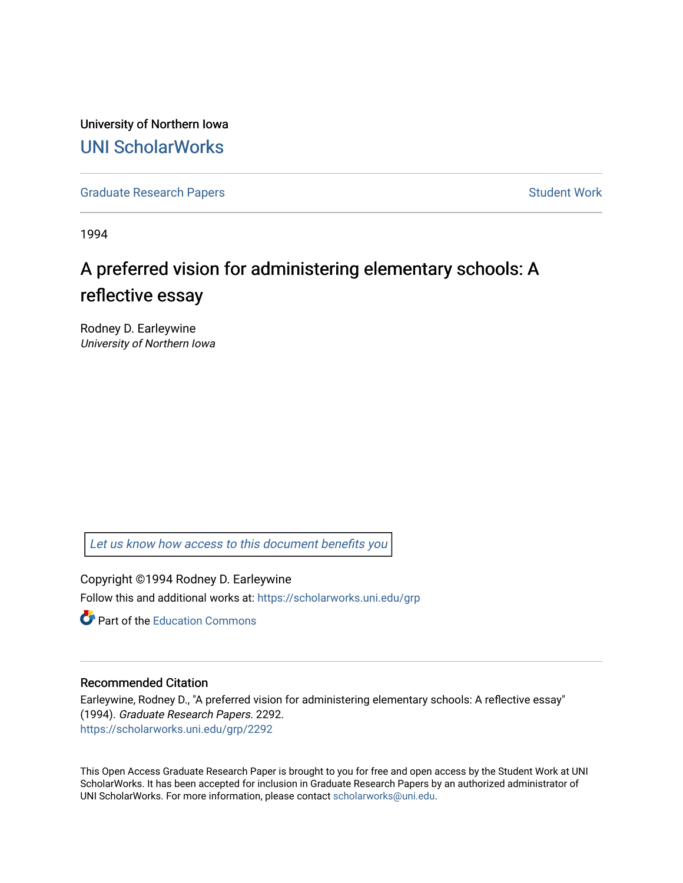University of Northern Iowa [UNI ScholarWorks](https://scholarworks.uni.edu/) 

[Graduate Research Papers](https://scholarworks.uni.edu/grp) **Student Work** Student Work

1994

# A preferred vision for administering elementary schools: A reflective essay

Rodney D. Earleywine University of Northern Iowa

[Let us know how access to this document benefits you](https://scholarworks.uni.edu/feedback_form.html) 

Copyright ©1994 Rodney D. Earleywine Follow this and additional works at: [https://scholarworks.uni.edu/grp](https://scholarworks.uni.edu/grp?utm_source=scholarworks.uni.edu%2Fgrp%2F2292&utm_medium=PDF&utm_campaign=PDFCoverPages) 

**C** Part of the [Education Commons](http://network.bepress.com/hgg/discipline/784?utm_source=scholarworks.uni.edu%2Fgrp%2F2292&utm_medium=PDF&utm_campaign=PDFCoverPages)

#### Recommended Citation

Earleywine, Rodney D., "A preferred vision for administering elementary schools: A reflective essay" (1994). Graduate Research Papers. 2292. [https://scholarworks.uni.edu/grp/2292](https://scholarworks.uni.edu/grp/2292?utm_source=scholarworks.uni.edu%2Fgrp%2F2292&utm_medium=PDF&utm_campaign=PDFCoverPages) 

This Open Access Graduate Research Paper is brought to you for free and open access by the Student Work at UNI ScholarWorks. It has been accepted for inclusion in Graduate Research Papers by an authorized administrator of UNI ScholarWorks. For more information, please contact [scholarworks@uni.edu.](mailto:scholarworks@uni.edu)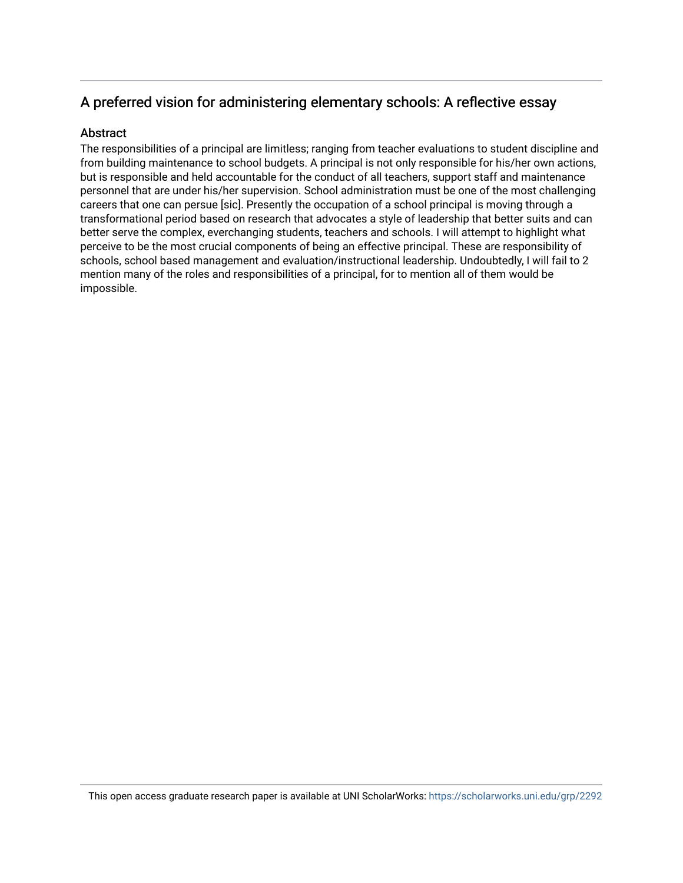## A preferred vision for administering elementary schools: A reflective essay

### **Abstract**

The responsibilities of a principal are limitless; ranging from teacher evaluations to student discipline and from building maintenance to school budgets. A principal is not only responsible for his/her own actions, but is responsible and held accountable for the conduct of all teachers, support staff and maintenance personnel that are under his/her supervision. School administration must be one of the most challenging careers that one can persue [sic]. Presently the occupation of a school principal is moving through a transformational period based on research that advocates a style of leadership that better suits and can better serve the complex, everchanging students, teachers and schools. I will attempt to highlight what perceive to be the most crucial components of being an effective principal. These are responsibility of schools, school based management and evaluation/instructional leadership. Undoubtedly, I will fail to 2 mention many of the roles and responsibilities of a principal, for to mention all of them would be impossible.

This open access graduate research paper is available at UNI ScholarWorks: <https://scholarworks.uni.edu/grp/2292>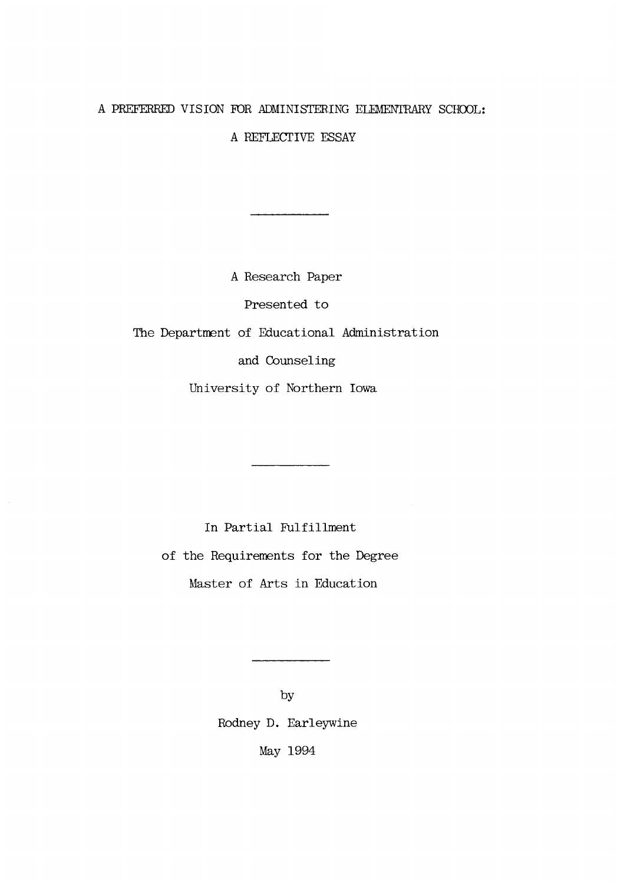#### A PREFERRED VISION FOR ADMINISTERING ELEMENTRARY SCHOOL:

A REFLECTIVE ESSAY

A Research Paper

Presented to

The Department of Educational Administration

and Counseling

University of Northern Iowa

In Partial Fulfillment of the Requirements for the Degree Master of Arts in Education

> by Rodney D. Earleywine May 1994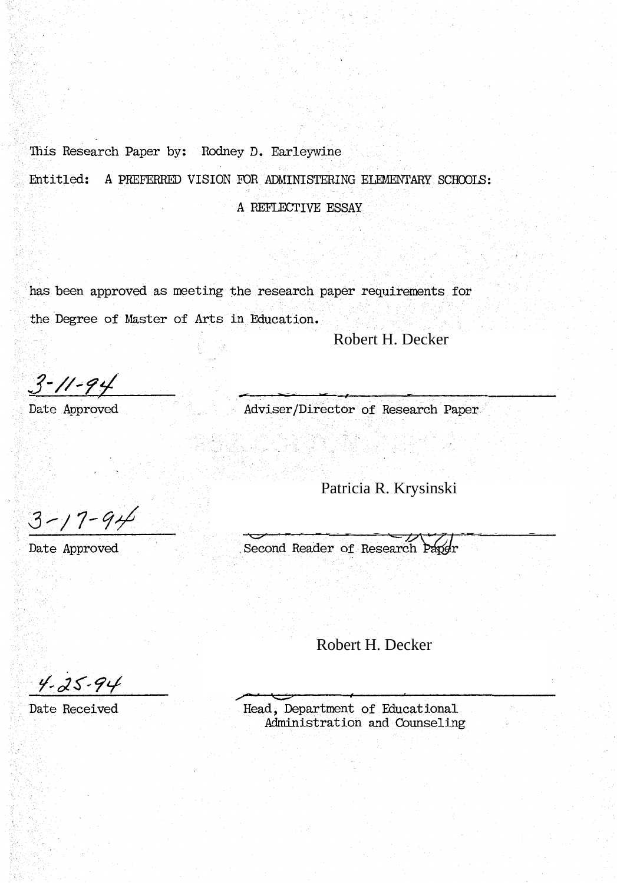This Research Paper by: Rodney D. Earleywine

Entitled: A PREFERRED VISION FOR ADMINISTERING ELEMENTARY SCHOOLS:

A REFLECTIVE ESSAY

has been approved as meeting the research paper requirements for the Degree of Master of Arts in Education.

Robert H. Decker

 $3 - 11 - 94$ 

Date Approved

Adviser/Director of Research Paper

 $3 - 17 - 94$ 

Date Approved

Second Reader of Research Paper Patricia R. Krysinski<br>der of Research Paper<br>Robert H. Decker

 $4 - 25 - 94$ 

Date Received

Head, Department of Educational Administration and Counseling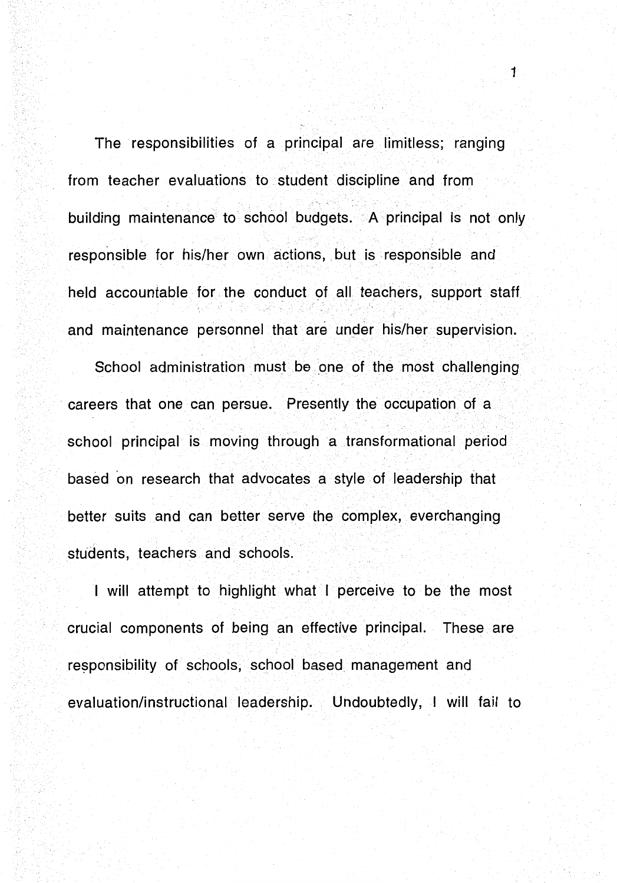The responsibilities of a principal are limitless; ranging from teacher evaluations to student discipline and from building maintenance to school budgets. A principal is not only responsible for his/her own actions, but is responsible and held accountable for the conduct of all teachers, support staff and maintenance personnel that are under his/her supervision.

1

School administration must be one of the most challenging careers that one can persue. Presently the occupation of a school principal is moving through a transformational period based on research that advocates a style of leadership that better suits and can better serve the complex, everchanging students, teachers and schools.

I will attempt to highlight what I perceive to be the most crucial components of being an effective principal. These are responsibility of schools, school based management and evaluation/instructional leadership. Undoubtedly, I will fail to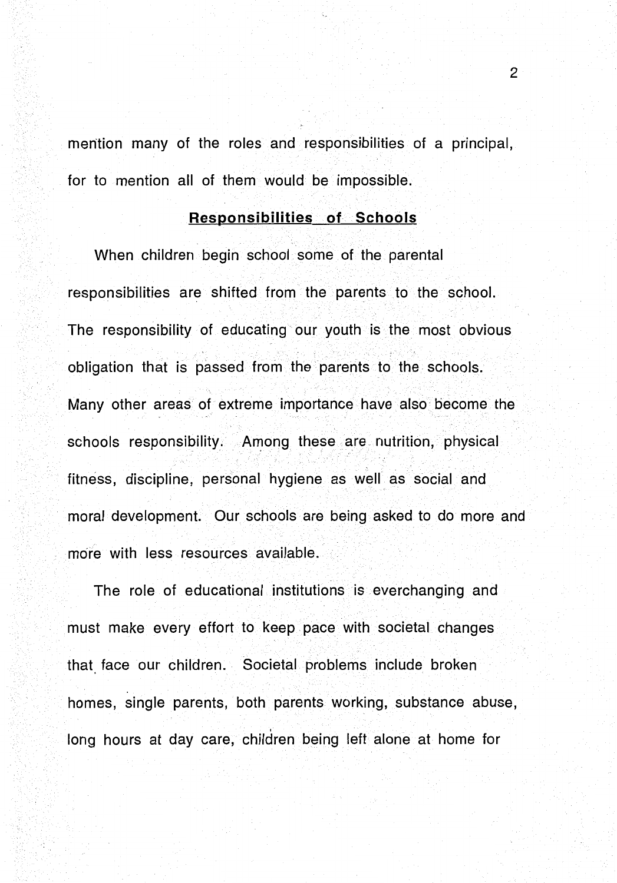mention many of the roles and responsibilities of a principal, for to mention all of them would be impossible.

## **Responsibilities of Schools**

When children begin school some of the parental responsibilities are shifted from the parents to the school. The responsibility of educating our youth is the most obvious obligation that is passed from the parents to the schools. Many other areas of extreme importance have also become the schools responsibility. Among these are nutrition, physical fitness, discipline, personal hygiene as well as social and moral development. Our schools are being asked to do more and more with less resources available.

The role of educational institutions is everchanging and must make every effort to keep pace with societal changes that face our children. Societal problems include broken homes, single parents, both parents working, substance abuse, long hours at day care, children being left alone at home for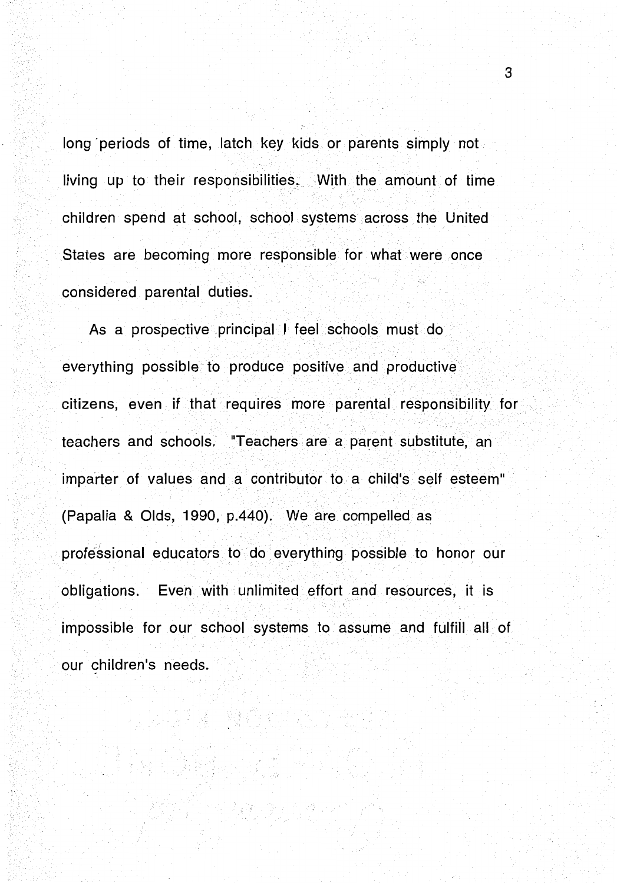long periods of time, latch key kids or parents simply not living up to their responsibilities. With the amount of time children spend at school, school systems across the United States are becoming more responsible for what were once considered parental duties.

As a prospective principal I feel schools must do everything possible to produce positive and productive citizens, even if that requires more parental responsibility for teachers and schools. 'Teachers are a parent substitute, an imparter of values and a contributor to a child's self esteem" (Papalia & Olds, 1990, p.440). We are compelled as professional educators to do everything possible to honor our obligations. Even with unlimited effort and resources, it is impossible for our school systems to assume and fulfill all of our children's needs.

a na katika Kisipingané na malala<br>Mangkatika Mangkati salah sa

시도에 대한 일이었다.<br>이 사업에 대한 관련 사고 있습니다.<br>이 사건이 가장 사업 사업 수석 있다. 이 가장 없

ing ang pagkalang pagkalang pagkalang pagkalang pagkalang pagkalang pagkalang pagkalang pagkalang pagkalang pa<br>Salah sa pagkalang pagkalang pagkalang pagkalang pagkalang pagkalang pagkalang pagkalang pagkalang pagkalang p<br>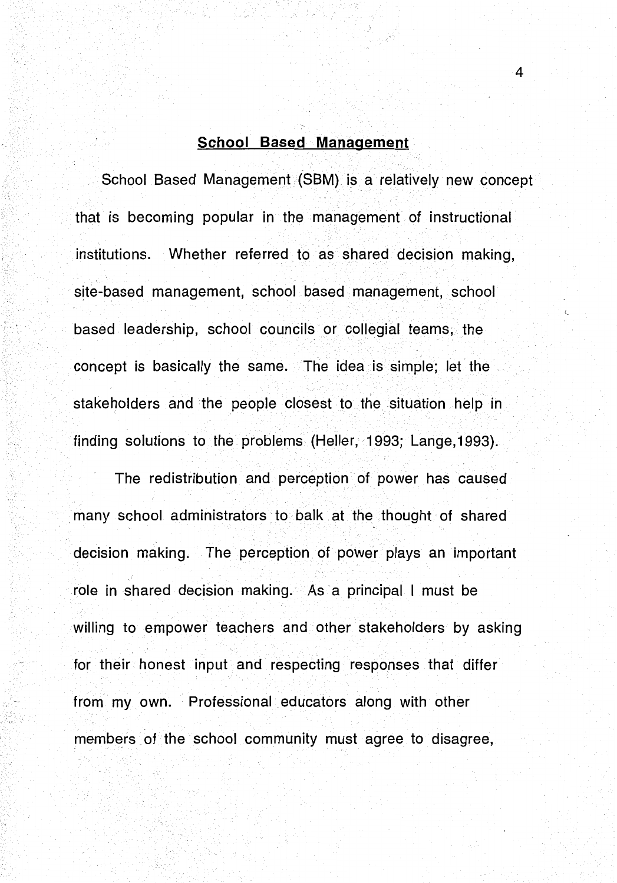## **School Based Management**

School Based Management (SBM) is a relatively new concept that is becoming popular in the management of instructional institutions. Whether referred to as shared decision making, site-based management, school based management, school based leadership, school councils or collegial teams, the concept is basically the same. The idea is simple; let the stakeholders and the people closest to the situation help in finding solutions to the problems (Heller, 1993; Lange, 1993).

The redistribution and perception of power has caused many school administrators to balk at the thought of shared decision making. The perception of power plays an important role in shared decision making. As a principal I must be willing to empower teachers and other stakeholders by asking for their honest input and respecting responses that differ from my own. Professional educators along with other members of the school community must agree to disagree,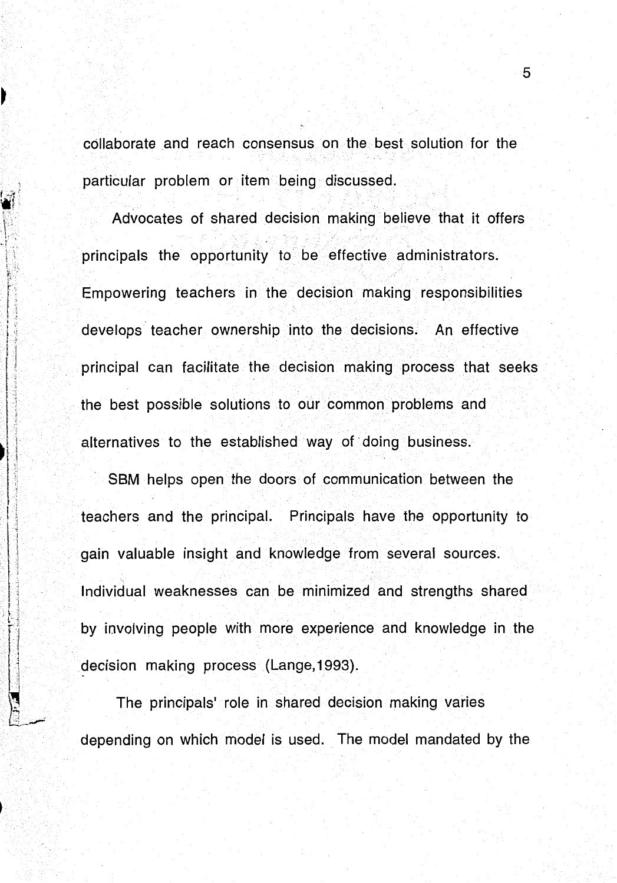collaborate and reach consensus on the best solution for the particular problem or item being discussed.

 $\mathbf{r}$ 

Ì

Advocates of shared decision making believe that it offers principals the opportunity to be effective administrators. Empowering teachers in the decision making responsibilities develops· teacher ownership into the decisions. An effective principal can facilitate the decision making process that seeks the best possible solutions to our common problems and alternatives to the established way of doing business.

SBM helps open the doors of communication between the teachers and the principal. Principals have the opportunity to gain valuable insight and knowledge from several sources. Individual weaknesses can be minimized and strengths shared by involving people with more experience and knowledge in the decision making process (Lange, 1993).

The principals' role in shared decision making varies depending on which model is used. The model mandated by the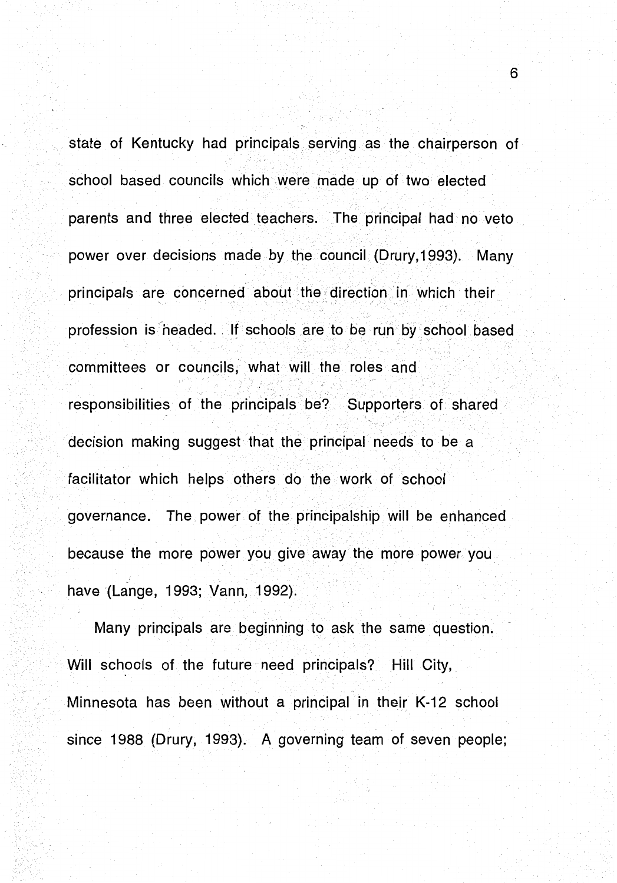state of Kentucky had principals serving as the chairperson of school based councils which were made up of two elected parents and three elected teachers. The principal had no veto power over decisions made by the council (Drury, 1993). Many principals are concerned about the direction in which their profession is headed. If schools are to be run by school based committees or councils, what will the roles and responsibilities of the principals be? Supporters of shared decision making suggest that the principal needs to be a facilitator which helps others do the work of school governance. The power of the principalship will be enhanced because the more power you give away the more power you have (Lange, 1993; Vann, 1992).

Many principals are beginning to ask the same question. Will schools of the future need principals? Hill City, Minnesota has been without a principal in their K-12 school since 1988 (Drury, 1993). A governing team of seven people;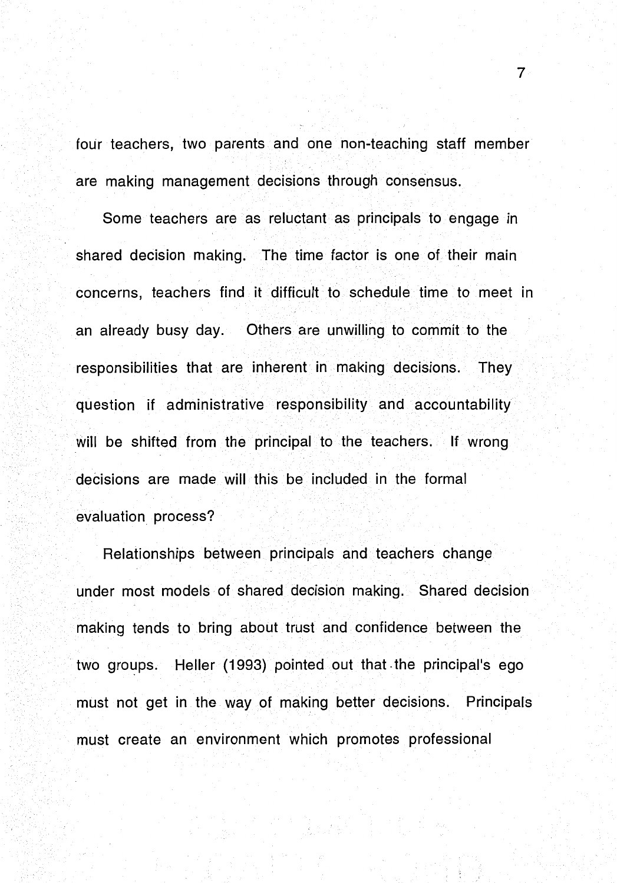four teachers, two parents and one non-teaching staff member are making management decisions through consensus.

Some teachers are as reluctant as principals to engage in shared decision making. The time factor is one of their main concerns, teachers find it difficult to schedule time to meet in an already busy day. Others are unwilling to commit to the responsibilities that are inherent in making decisions. They question if administrative responsibility and accountability will be shifted from the principal to the teachers. If wrong decisions are made will this be included in the formal evaluation process?

Relationships between principals and teachers change under most models of shared decision making. Shared decision making tends to bring about trust and confidence between the two groups. Heller (1993) pointed out that the principal's ego must not get in the way of making better decisions. Principals must create an environment which promotes professional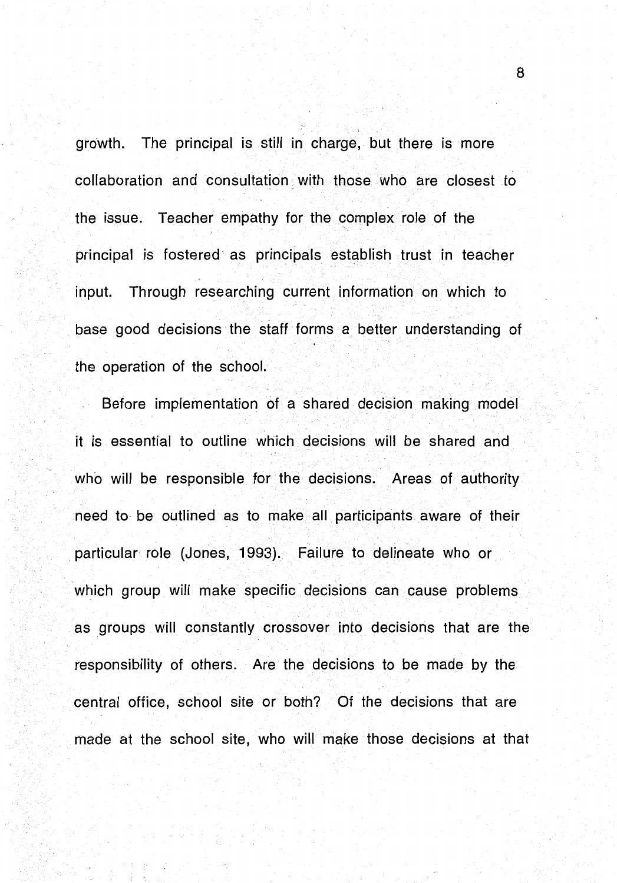growth. The principal is still in charge, but there is more collaboration and consultation with those who are closest to the issue. Teacher empathy for the complex role of the principal is fostered· as principals establish trust in teacher input. Through researching current information on which to base good decisions the staff forms a better understanding of the operation of the school.

Before implementation of a shared decision making model it is essential to outline which decisions will be shared and who will be responsible for the decisions. Areas of authority need to be outlined as to make all participants aware of their . particular role (Jones, 1993). Failure to delineate who or which group will make specific decisions can cause problems as groups will constantly crossover into decisions that are the responsibility of others. Are the decisions to be made by the central office, school site or both? Of the decisions that are made at the school site, who will make those decisions at that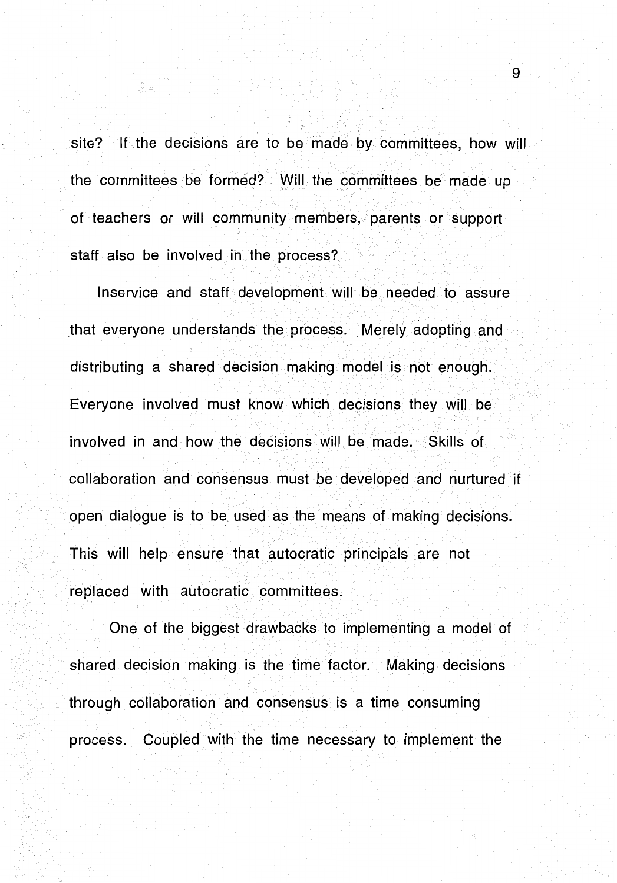site? If the decisions are to be made by committees, how will the committees be formed? Will the committees be made up of teachers or will community members, parents or support staff also be involved in the process?

a mentru in di sebagai sebagai ke<br>Anggota di sebagai sebagai kepali

lnservice and staff development will be needed to assure that everyone understands the process. Merely adopting and distributing a shared decision making model is not enough. Everyone involved must know which decisions they will be involved in and how the decisions Will be made. Skills of collaboration and consensus must be developed and nurtured if open dialogue is to be used as the means of making decisions. This will help ensure that autocratic principals are not replaced with autocratic committees.

One of the biggest drawbacks to implementing a model of shared decision making is the time factor. Making decisions through collaboration and consensus is a time consuming process. Coupled with the time necessary to implement the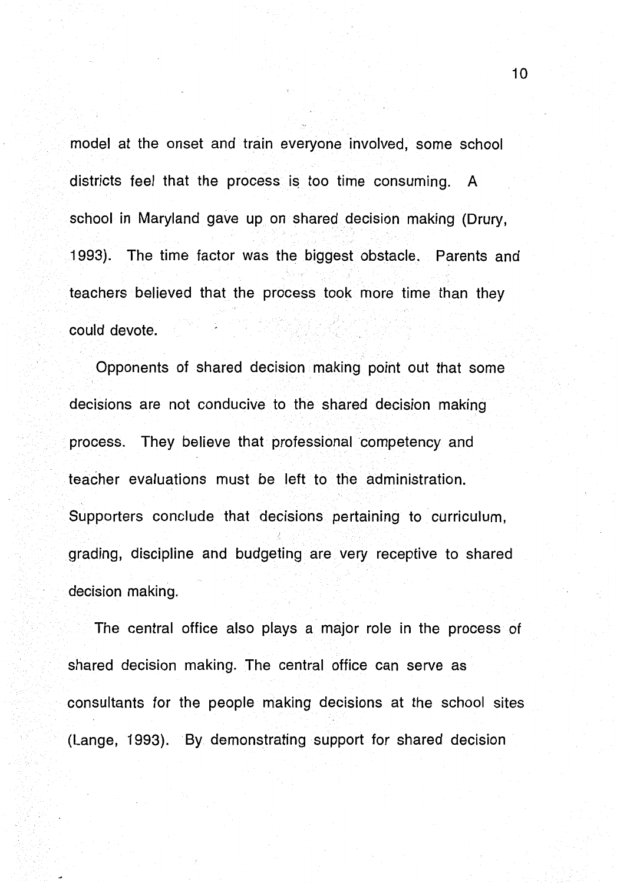model at the onset and train everyone involved, some school districts feel that the process is too time consuming. A school in Maryland gave up on shared decision making (Drury, 1993). The time factor was the biggest obstacle. Parents and teachers believed that the process took more time than they could devote.

Opponents of shared decision making point out that some decisions are not conducive to the shared decision making process. They believe that professional competency and teacher evaluations must be left to the administration. Supporters conclude that decisions pertaining to curriculum, grading, discipline and budgeting are very receptive to shared decision making.

The central office also plays a major role in the process of shared decision making. The central office can serve as consultants for the people making decisions at the school sites (Lange, 1993). By demonstrating support for shared decision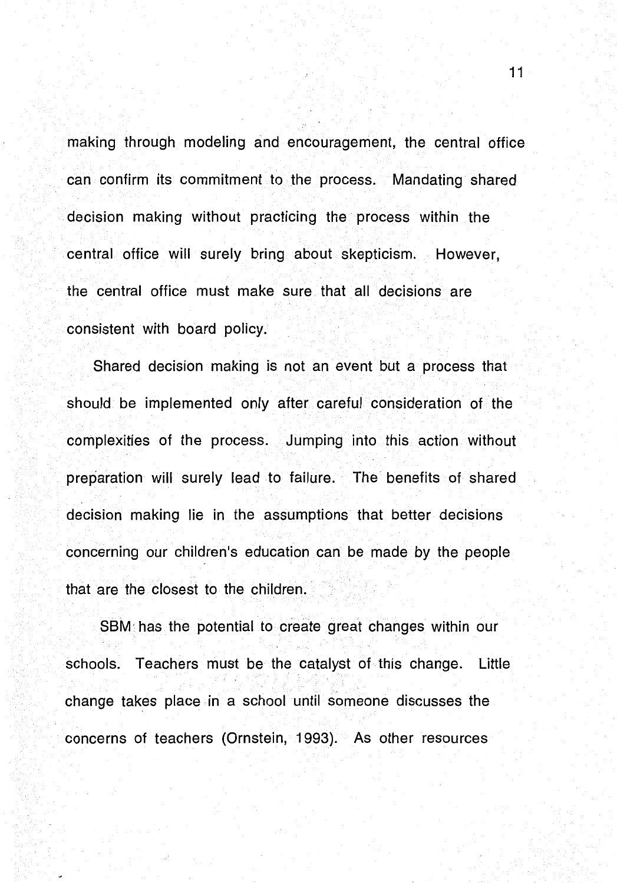making through modeling and encouragement, the central office can confirm its commitment to the process. Mandating shared decision making without practicing the process within the central office will surely bring about skepticism. However, the central office must make sure that all decisions are consistent with board policy.

Shared decision making is not an event but a process that should be implemented only after careful consideration of the complexities of the process. Jumping into this action without preparation will surely lead to failure. The· benefits of shared decision making lie in the assumptions that better decisions concerning our children's education can be made by the people that are the closest to the children.

SBM· has the potential to create great changes within our schools. Teachers must be the catalyst of this change. Little change takes place in a school until someone discusses the concerns of teachers (Ornstein, 1993). As other resources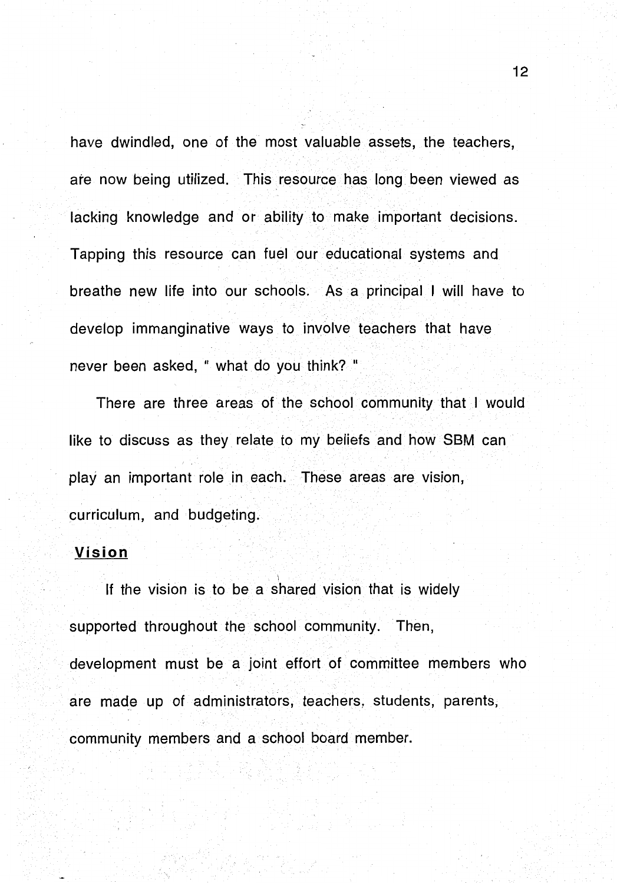have dwindled, one of the most valuable assets, the teachers, are now being utilized. This resource has long been viewed as lacking knowledge and or ability to make important decisions. Tapping this resource can fuel our educational systems and breathe new life into our schools. As a principal I will have to develop immanginative ways to involve teachers that have never been asked, " what do you think? "

There are three areas of the school community that I would like to discuss as they relate to my beliefs and how SBM can play an important role in each. These areas are vision, curriculum, and budgeting.

#### **Vision**

If the vision is to be a shared vision that is widely supported throughout the school community. Then, development must be a joint effort of committee members who are made up of administrators, teachers, students, parents, community members and a school board member.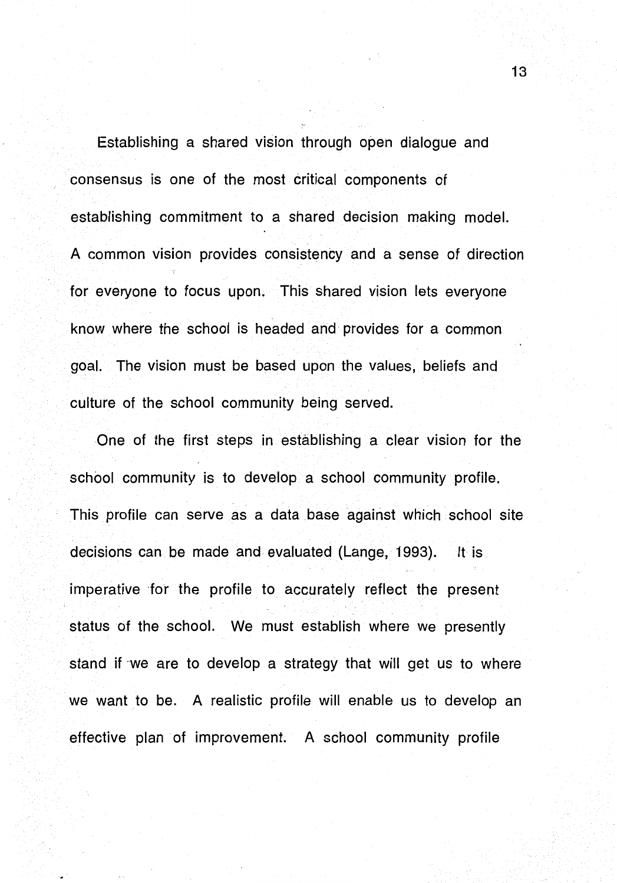Establishing a shared vision through open dialogue and consensus is one of the most critical components of establishing commitment to a shared decision making model. A common vision provides consistency and a sense of direction for everyone to focus upon. This shared vision lets everyone know where the school is headed and provides for a common goal. The vision must be based upon the values, beliefs and culture of the school community being served.

One of the first steps in establishing a clear vision for the school community is to develop a school community profile. This profile can serve as a data base against which school site decisions can be made and evaluated (Lange, 1993). It is imperative for the profile to accurately reflect the present status of the school. We must establish where we presently stand if we are to develop a strategy that will get us to where we want to be. A realistic profile will enable us to develop an effective plan of improvement. A school community profile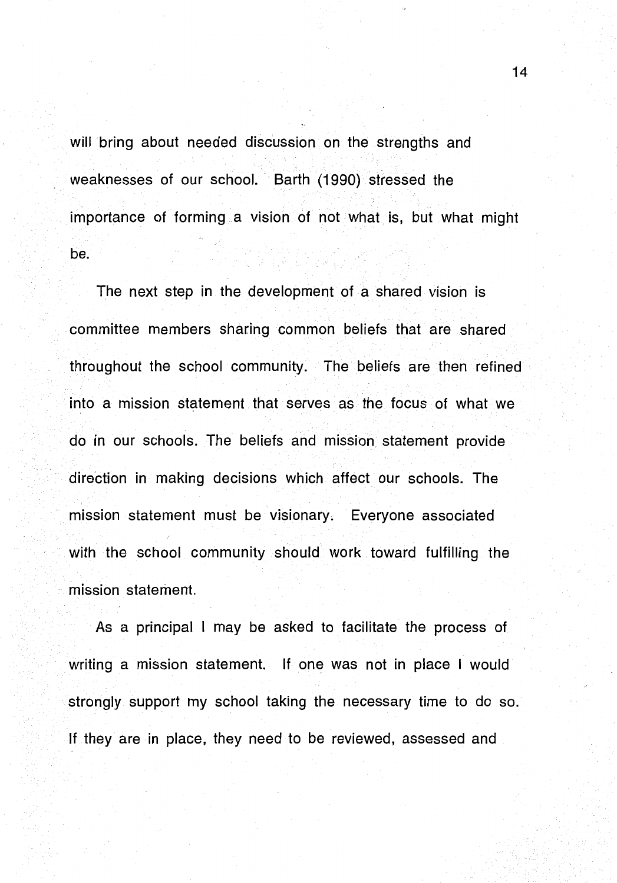will bring about needed discussion on the strengths and weaknesses of our school. Barth (1990) stressed the importance of forming a vision of not what is, but what might be.

The next step in the development of a shared vision is committee members sharing common beliefs that are shared throughout the school community. The beliefs are then refined into a mission statement that serves as the focus of what we do in our schools. The beliefs and mission statement provide direction in making decisions which affect our schools. The mission statement must be visionary. Everyone associated with the school community should work toward fulfilling the mission statement.

As a principal I may be asked to facilitate the process of writing a mission statement. If one was not in place I would strongly support my school taking the necessary time to do so. If they are in place, they need to be reviewed, assessed and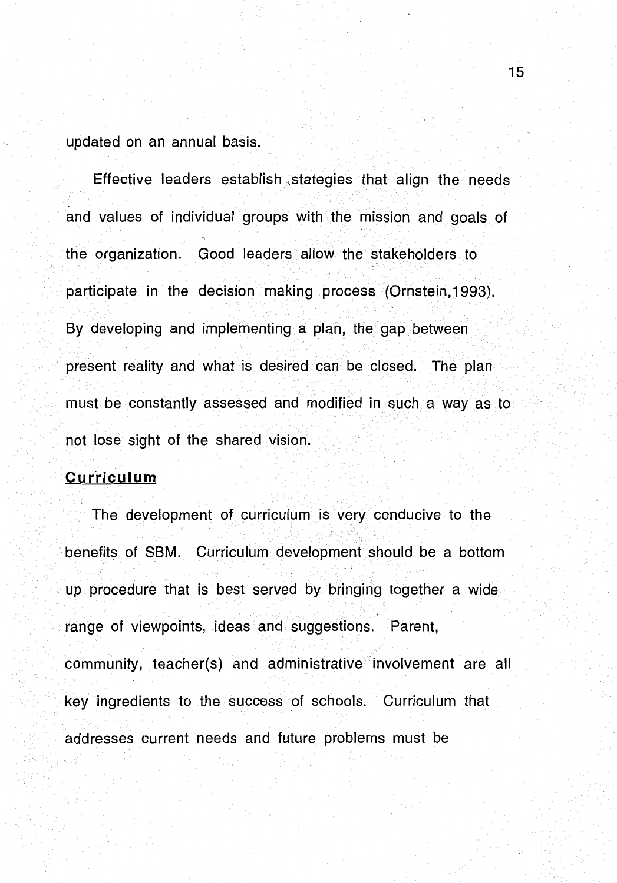updated on an annual basis.

Effective leaders establish ,stategies that align the needs and values of individual groups with the mission and goals of the organization. Good leaders allow the stakeholders to participate in the decision making process (Ornstein, 1993). By developing and implementing a plan, the gap between present reality and what is desired can be closed. The plan must be constantly assessed and modified in such a way as to not lose sight of the shared vision.

## **Curriculum**

The development of curriculum is very conducive to the benefits of SBM. Curriculum development should be a bottom up procedure that is best served by bringing together a wide range of viewpoints, ideas and: suggestions. Parent, community, teacher(s) and administrative involvement are all key ingredients to the success of schools. Curriculum that addresses current needs and future problems must be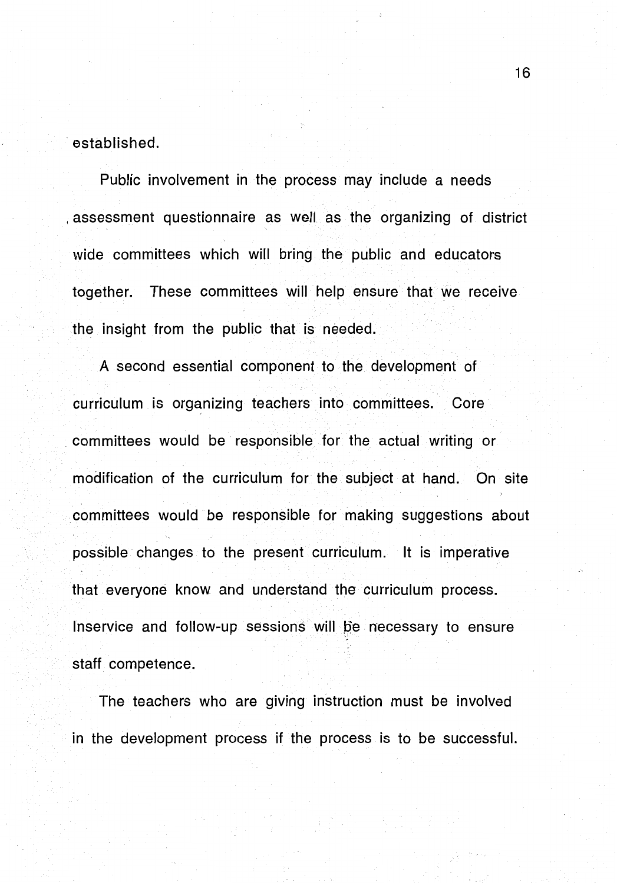established.

Public involvement in the process may include a needs , assessment questionnaire as well as the organizing of district wide committees which will bring the public and educators together. These committees will help ensure that we receive the insight from the public that is needed.

A second essential component to the development of curriculum is organizing teachers into committees. Core committees would be responsible for the actual writing or modification of the curriculum for the subject at hand. On site committees would be responsible for making suggestions about possible changes to the present curriculum. It is imperative that everyone know and understand the curriculum process. Inservice and follow-up sessions will be necessary to ensure staff competence.

The teachers who are giving instruction must be involved in the development process if the process is to be successful.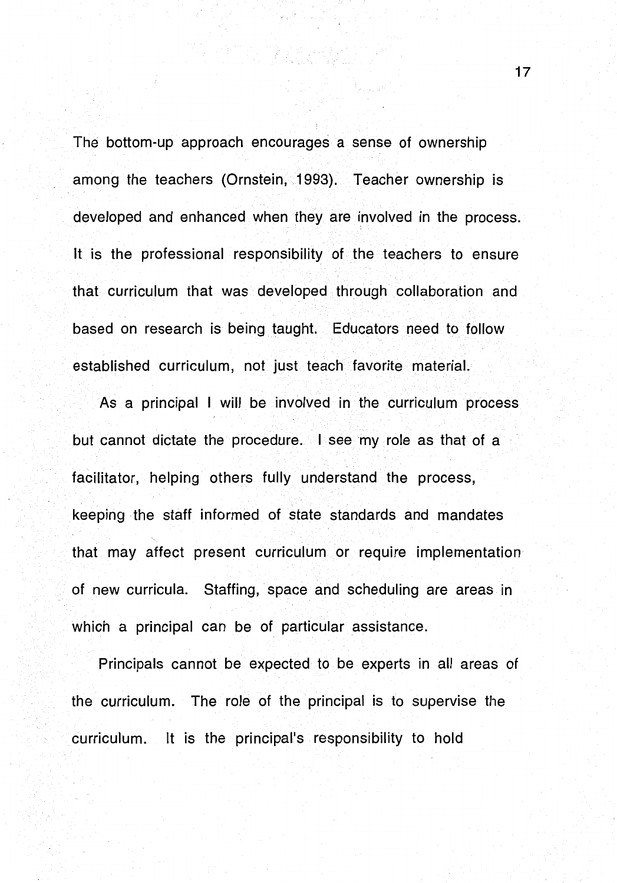The bottom-up approach encourages a sense of ownership among the teachers (Ornstein, 1993). Teacher ownership is developed and enhanced when they are involved in the process. It is the professional responsibility of the teachers to ensure that curriculum that was developed through collaboration and based on research is being taught. Educators need to follow established curriculum, not just teach favorite material.

As a principal I will be involved in the curriculum process but cannot dictate the procedure. I see my role as that of a facilitator, helping others fully understand the process, keeping the staff informed of state standards and mandates that may affect present curriculum or require implementation of new curricula. Staffing, space and scheduling are areas in which a principal can be of particular assistance.

Principals cannot be expected to be experts in all areas of the curriculum. The role of the principal is to supervise the curriculum. It is the principal's responsibility to hold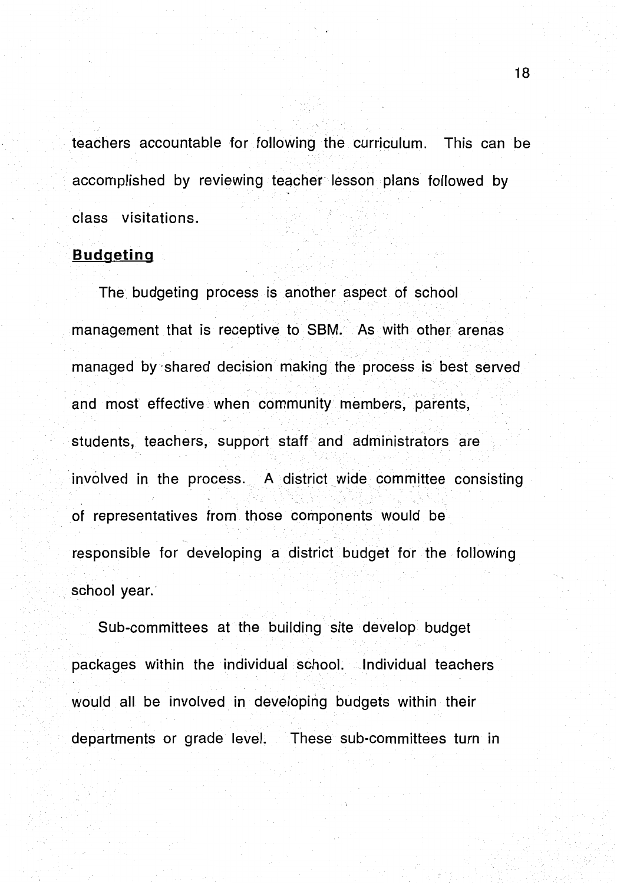teachers accountable for following the curriculum. This can be accomplished by reviewing teacher lesson plans followed by class visitations.

## **Budgeting**

The budgeting process is another aspect of school management that is receptive to SBM. As with other arenas managed by ·shared decision making the process is best served and most effective when community members, parents, students, teachers, support staff and administrators are involved in the process. A district wide committee consisting of representatives from those components would be responsible for developing a district budget for the following school year.'

Sub-committees at the building site develop budget packages within the individual school. Individual teachers would all be involved in developing budgets within their departments or grade level. These sub-committees turn in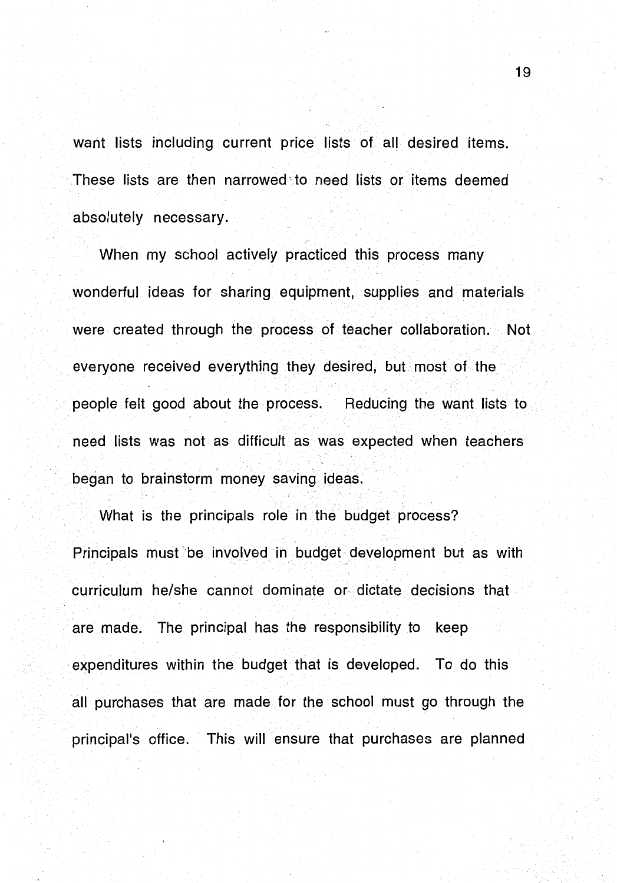want lists including current price lists of all desired items. These lists are then narrowed, to need lists or items deemed absolutely necessary.

When my school actively practiced this process many wonderful ideas for sharing equipment, supplies and materials were created through the process of teacher collaboration. Not everyone received everything they desired, but most of the people felt good about the process. Reducing the want lists to need lists was not as difficult as was expected when teachers began to brainstorm money saving ideas.

What is the principals role in the budget process? Principals must' be involved in budget development but as with curriculum he/she cannot dominate or dictate decisions that are made. The principal has the responsibility to keep expenditures within the budget that is developed. To do this all purchases that are made for the school must go through the principal's office. This will ensure that purchases are planned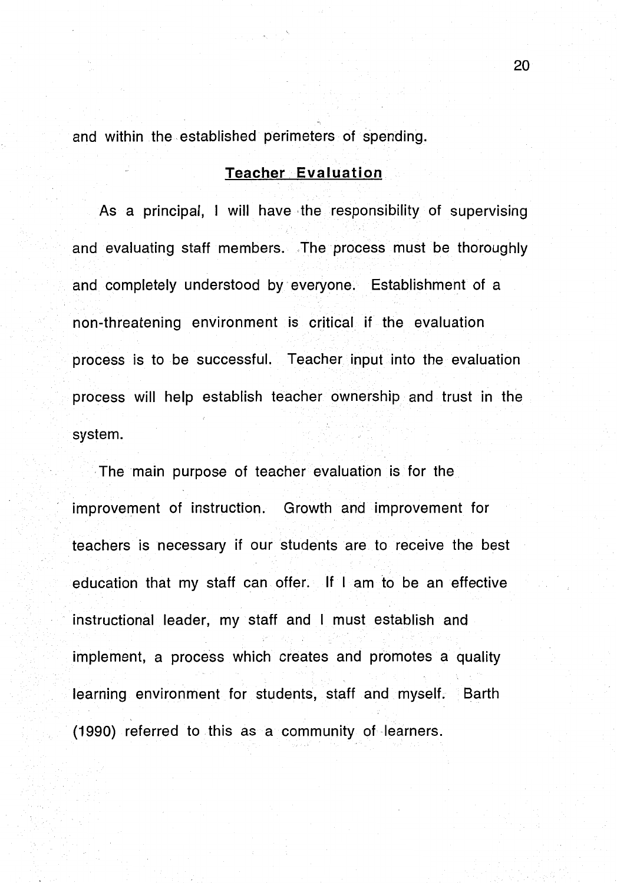and within the established perimeters of spending.

#### **Teacher. Evaluation**

As a principal, I will have the responsibility of supervising and evaluating staff members. The process must be thoroughly and completely understood by everyone. Establishment of a non-threatening environment is critical if the evaluation process is to be successful. Teacher input into the evaluation process will help establish teacher ownership and trust in the system.

The main purpose of teacher evaluation is for the improvement of instruction. Growth and improvement for teachers is necessary if our students are to receive the best education that my staff can offer. If I am to be an effective instructional leader, my staff and I must establish and implement, a process which creates and promotes a quality learning environment for students, staff and myself. Barth (1990) referred to this as a community of learners.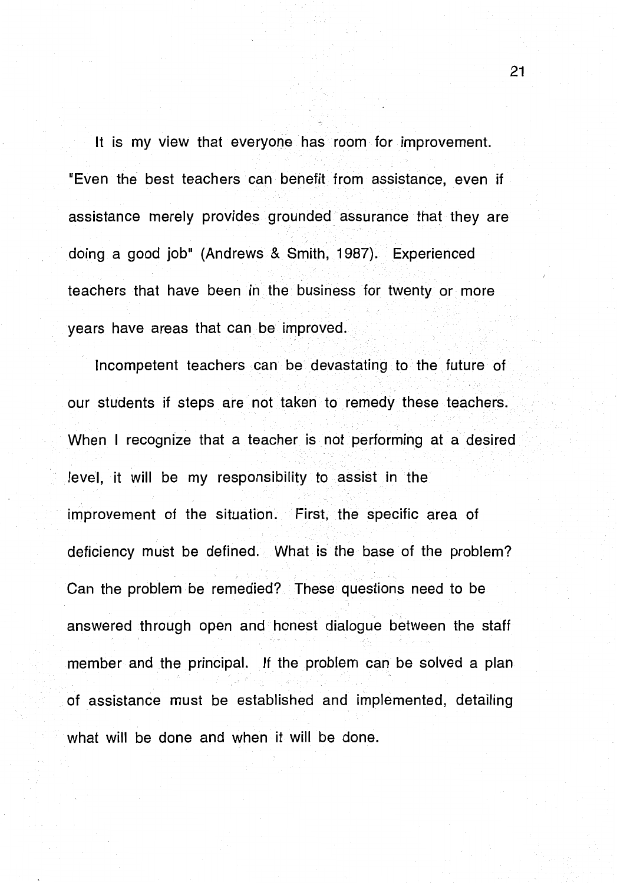It is my view that everyone has room for improvement. "Even the best teachers can benefit from assistance, even if assistance merely provides grounded assurance that they are doing a good job" (Andrews & Smith, 1987). Experienced teachers that have been in the business for twenty or more years have areas that can be improved.

Incompetent teachers can be devastating to the future of our students if steps are not taken to remedy these teachers. When I recognize that a teacher is not performing at a desired level, it will be my responsibility to assist in the improvement of the situation. First, the specific area of deficiency must be defined. What is the base of the problem? Can the problem be remedied? These questions need to be answered through open and honest dialogue between the staff member and the principal. If the problem can be solved a plan of assistance must be established and implemented, detailing what will be done and when it will be done.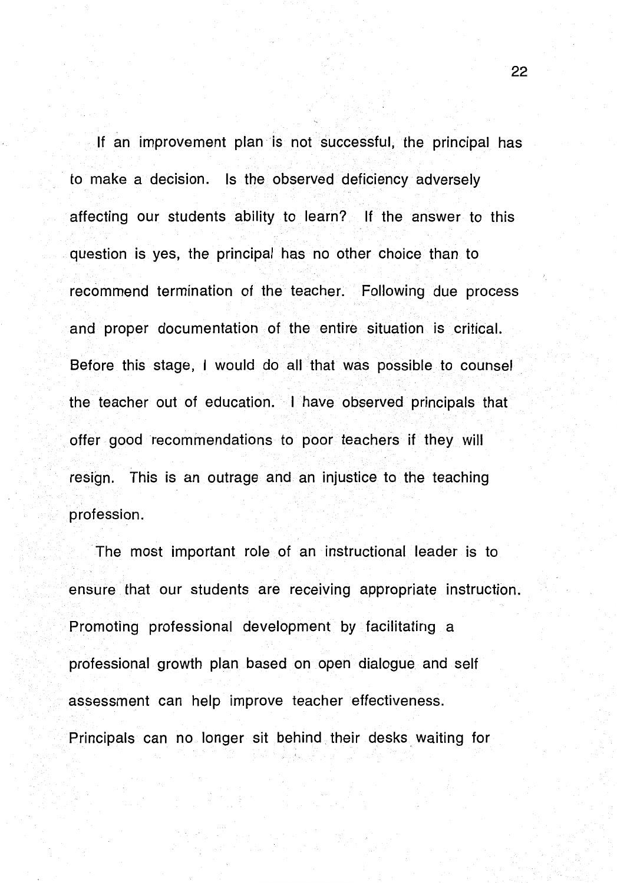If an improvement plan is not successful, the principal has to make a decision. Is the observed deficiency adversely affecting our students ability to learn? If the answer to this question is yes, the principal has no other choice than to recommend termination of the teacher. Following due process and proper documentation of the entire situation is critical. Before this stage, I would do all that was possible to counsel the teacher out of education. I have observed principals that offer good recommendations to poor teachers if they will resign. This is an outrage and an injustice to the teaching profession.

The most important role of an instructional leader is to ensure that our students are receiving appropriate instruction. Promoting professional development by facilitating a professional growth plan based on open dialogue and self assessment can help improve teacher effectiveness. Principals can no longer sit behind. their desks waiting for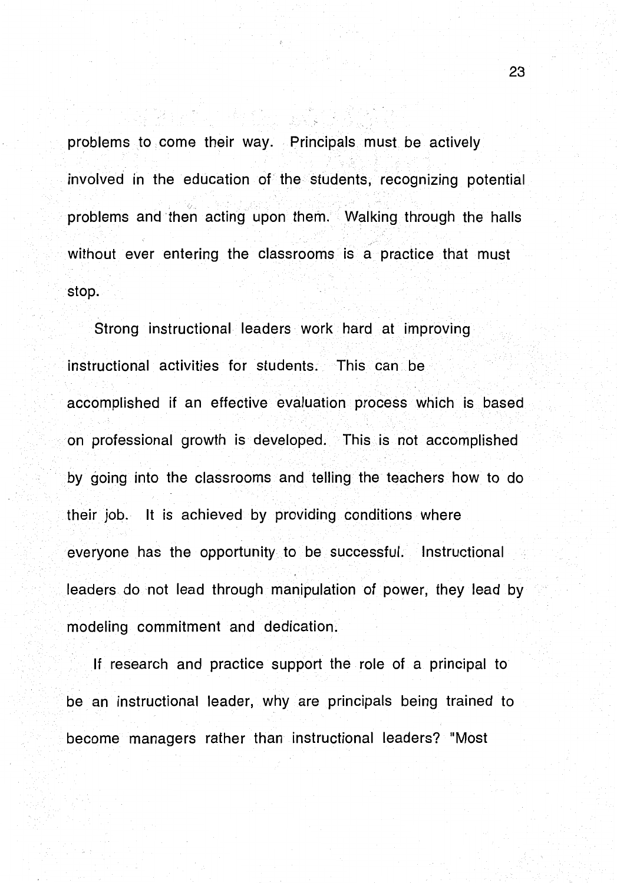problems to come their way. Principals must be actively involved in the education of the students, recognizing potential problems and then acting upon them. Walking through the halls without ever entering the classrooms is a practice that must stop.

Strong instructional leaders work hard at improving instructional activities for students. This can be accomplished if an effective evaluation process which is based on professional growth is developed. This is not accomplished by going into the classrooms and telling the teachers how to do their job. It is achieved by providing conditions where everyone has the opportunity to be successful. Instructional leaders do not lead through manipulation of power, they lead by modeling commitment and dedication.

If research and practice support the role of a principal to be an instructional leader, why are principals being trained to become managers rather than instructional leaders? "Most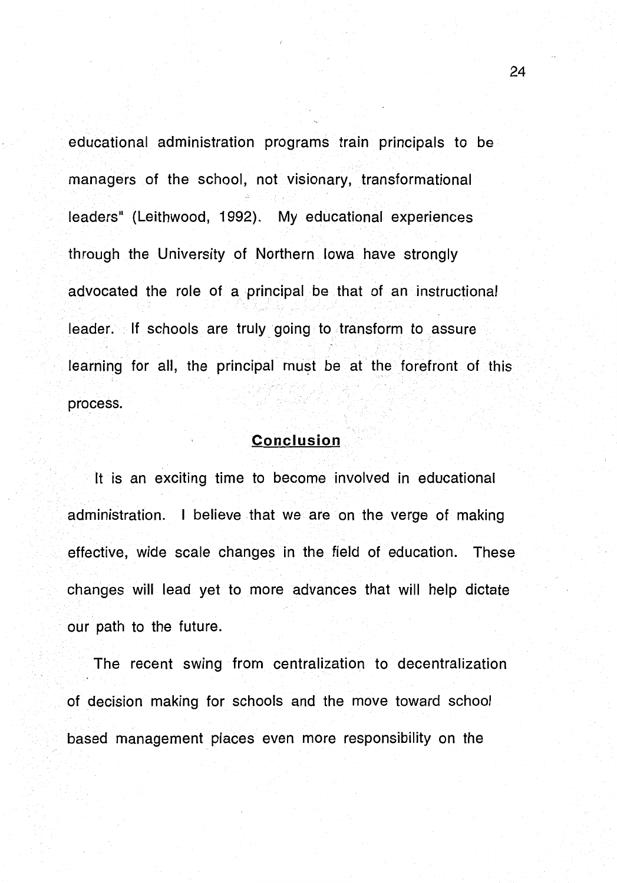educational administration programs train principals to be managers of the school, not visionary, transformational leaders" (Leithwood, 1992). My educational experiences through the University of Northern Iowa have strongly advocated the role of a principal be that of an instructional leader. If schools are truly going to transform to assure learning for all, the principal must be at the forefront of this process.

#### **Conclusion**

It is an exciting time to become involved in educational administration. I believe that we are on the verge of making effective, wide scale changes in the field of education. These changes will lead yet to more advances that will help dictate our path to the future.

The recent swing from centralization to decentralization of decision making for schools and the move toward school based management places even more responsibility on the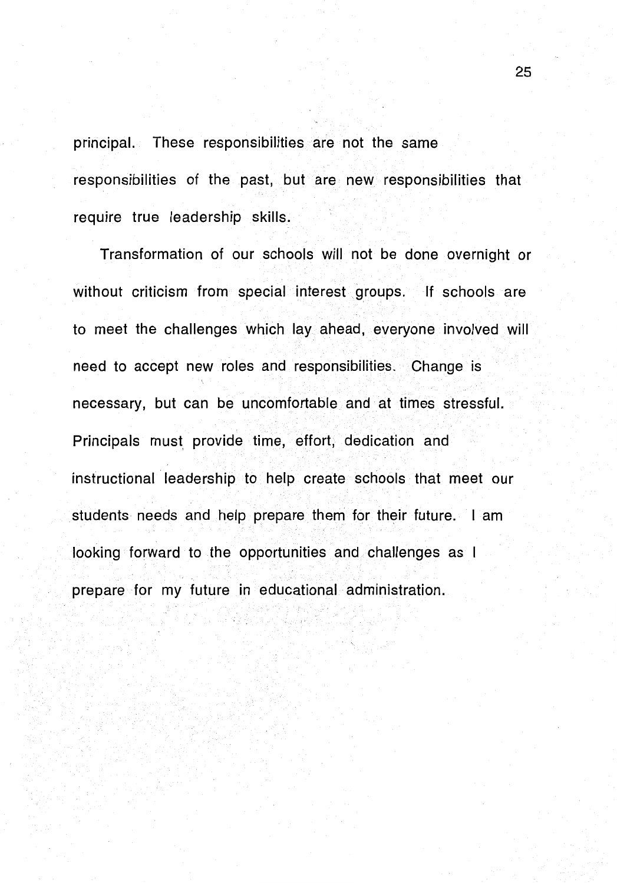principal. These responsibilities are not the same responsibilities of the past, but are new responsibilities that require true leadership skills.

Transformation of our schools will not be done overnight or without criticism from special interest groups. If schools are to meet the challenges which lay ahead, everyone involved will need to accept new roles and responsibilities. Change is necessary, but can be uncomfortable and at times stressful. Principals must provide time, effort, dedication and instructional leadership to help create schools that meet our students needs and help prepare them for their future. I am looking forward to the opportunities and challenges as I prepare for my future in educational administration.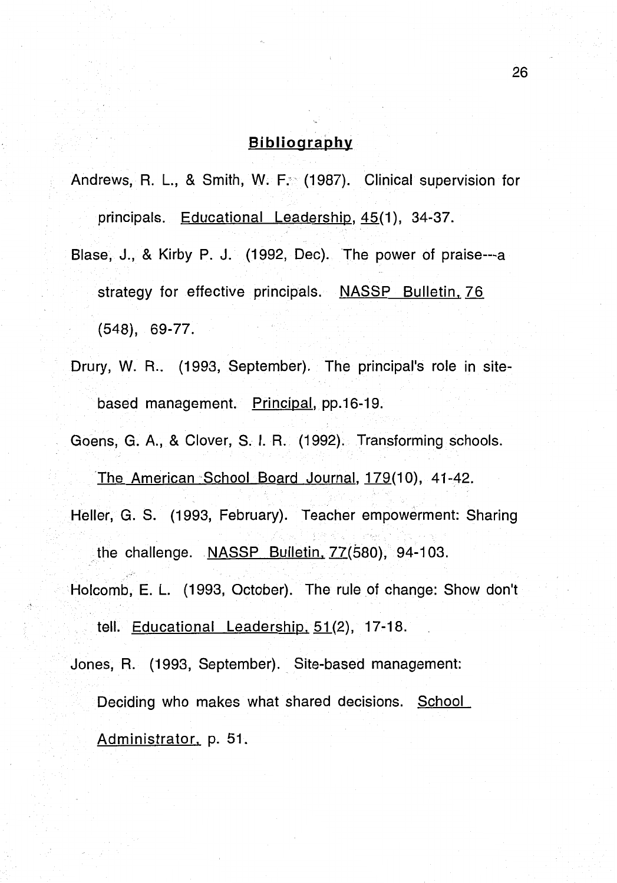## **Bibliography**

Andrews, R. L., & Smith, W. F. (1987). Clinical supervision for principals. Educational Leadership, 45(1), 34-37.

- Blase, J., & Kirby P. J. (1992, Dec). The power of praise---a strategy for effective principals. NASSP Bulletin, 76 (548), 69-77.
- Drury, W. R.. (1993, September). The principal's role in sitebased management. Principal, pp.16-19.

Goens, G. A., & Clover, S. I. R. (1992). Transforming schools.

'The American School Board Journal, 179(10), 41-42. Heller, G. S. (1993, February). Teacher empowerment: Sharing the challenge. NASSP Bulletin, 77(580), 94-103. Holcomb, E. L. (1993, October). The rule of change: Show don't tell. Educational Leadership, 51(2), 17-18. Jones, R. (1993, September). Site-based management: Deciding who makes what shared decisions. School Administrator, p. 51.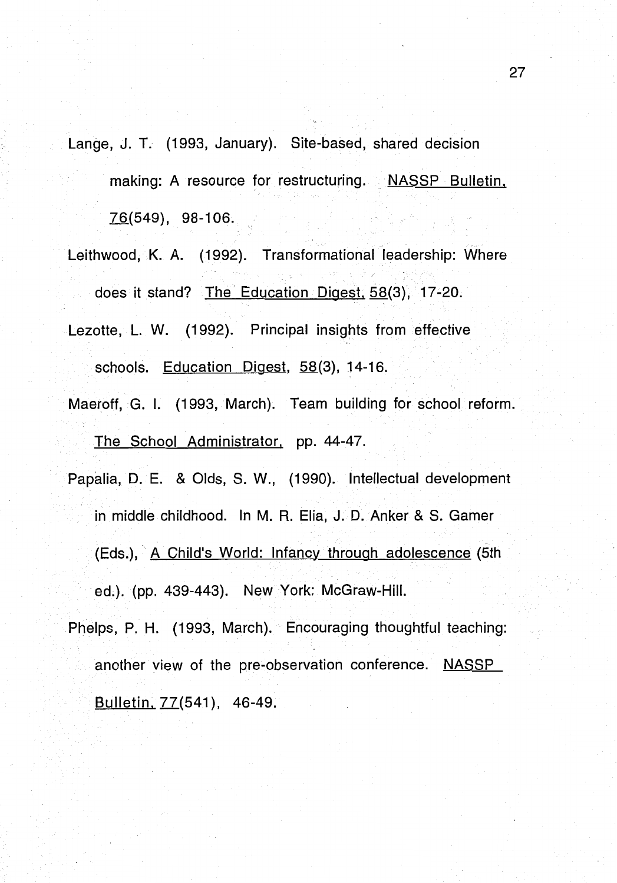Lange, J. T. (1993, January). Site-based, shared decision making: A resource for restructuring. NASSP Bulletin. 76(549), 98-106.

Leithwood, K. A. (1992). Transformational leadership: Where does it stand? The Education Digest. 58(3), 17-20.

Lezotte, L. W. (1992). Principal insights from effective schools. Education Digest, 58(3), 14-16.

- Maeroff, G. I. (1993, March). Team building for school reform. The School Administrator. pp. 44-47.
- Papalia, D. E. & Olds, S. W., (1990). Intellectual development in middle childhood. In M. R. Elia, J. D. Anker & S. Gamer (Eds.), A Child's World: Infancy through adolescence (5th ed.). (pp. 439-443). New York: McGraw-Hill.
- Phelps, P. H. (1993, March). Encouraging thoughtful teaching: another view of the pre-observation conference. NASSP Bulletin, 77(541), 46-49.